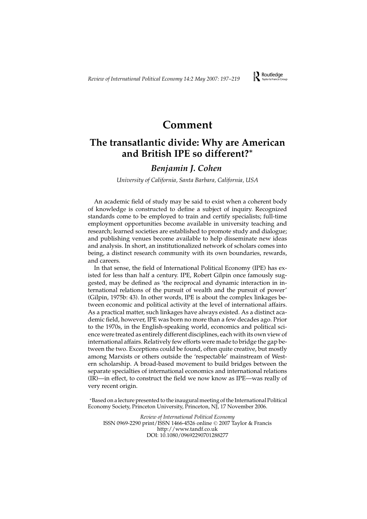**Routledge**<br>Routledge

# **Comment**

# **The transatlantic divide: Why are American and British IPE so different?***∗*

# *Benjamin J. Cohen*

*University of California, Santa Barbara, California, USA*

An academic field of study may be said to exist when a coherent body of knowledge is constructed to define a subject of inquiry. Recognized standards come to be employed to train and certify specialists; full-time employment opportunities become available in university teaching and research; learned societies are established to promote study and dialogue; and publishing venues become available to help disseminate new ideas and analysis. In short, an institutionalized network of scholars comes into being, a distinct research community with its own boundaries, rewards, and careers.

In that sense, the field of International Political Economy (IPE) has existed for less than half a century. IPE, Robert Gilpin once famously suggested, may be defined as 'the reciprocal and dynamic interaction in international relations of the pursuit of wealth and the pursuit of power' (Gilpin, 1975b: 43). In other words, IPE is about the complex linkages between economic and political activity at the level of international affairs. As a practical matter, such linkages have always existed. As a distinct academic field, however, IPE was born no more than a few decades ago. Prior to the 1970s, in the English-speaking world, economics and political science were treated as entirely different disciplines, each with its own view of international affairs. Relatively few efforts were made to bridge the gap between the two. Exceptions could be found, often quite creative, but mostly among Marxists or others outside the 'respectable' mainstream of Western scholarship. A broad-based movement to build bridges between the separate specialties of international economics and international relations (IR)—in effect, to construct the field we now know as IPE—was really of very recent origin.

<sup>∗</sup>Based on a lecture presented to the inaugural meeting of the International Political Economy Society, Princeton University, Princeton, NJ, 17 November 2006.

*Review of International Political Economy* ISSN 0969-2290 print/ISSN 1466-4526 online © 2007 Taylor & Francis http://www.tandf.co.uk DOI: 10.1080/09692290701288277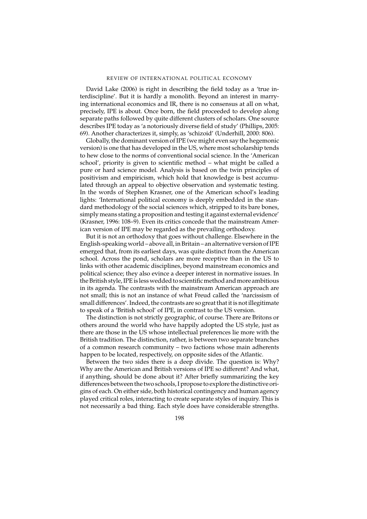David Lake (2006) is right in describing the field today as a 'true interdiscipline'. But it is hardly a monolith. Beyond an interest in marrying international economics and IR, there is no consensus at all on what, precisely, IPE is about. Once born, the field proceeded to develop along separate paths followed by quite different clusters of scholars. One source describes IPE today as 'a notoriously diverse field of study' (Phillips, 2005: 69). Another characterizes it, simply, as 'schizoid' (Underhill, 2000: 806).

Globally, the dominant version of IPE (we might even say the hegemonic version) is one that has developed in the US, where most scholarship tends to hew close to the norms of conventional social science. In the 'American school', priority is given to scientific method – what might be called a pure or hard science model. Analysis is based on the twin principles of positivism and empiricism, which hold that knowledge is best accumulated through an appeal to objective observation and systematic testing. In the words of Stephen Krasner, one of the American school's leading lights: 'International political economy is deeply embedded in the standard methodology of the social sciences which, stripped to its bare bones, simply means stating a proposition and testing it against external evidence' (Krasner, 1996: 108–9). Even its critics concede that the mainstream American version of IPE may be regarded as the prevailing orthodoxy.

But it is not an orthodoxy that goes without challenge. Elsewhere in the English-speaking world – above all, in Britain – an alternative version of IPE emerged that, from its earliest days, was quite distinct from the American school. Across the pond, scholars are more receptive than in the US to links with other academic disciplines, beyond mainstream economics and political science; they also evince a deeper interest in normative issues. In the British style, IPE is less wedded to scientific method and more ambitious in its agenda. The contrasts with the mainstream American approach are not small; this is not an instance of what Freud called the 'narcissism of small differences'. Indeed, the contrasts are so great that it is not illegitimate to speak of a 'British school' of IPE, in contrast to the US version.

The distinction is not strictly geographic, of course. There are Britons or others around the world who have happily adopted the US style, just as there are those in the US whose intellectual preferences lie more with the British tradition. The distinction, rather, is between two separate branches of a common research community – two factions whose main adherents happen to be located, respectively, on opposite sides of the Atlantic.

Between the two sides there is a deep divide. The question is: Why? Why are the American and British versions of IPE so different? And what, if anything, should be done about it? After briefly summarizing the key differences between the two schools, I propose to explore the distinctive origins of each. On either side, both historical contingency and human agency played critical roles, interacting to create separate styles of inquiry. This is not necessarily a bad thing. Each style does have considerable strengths.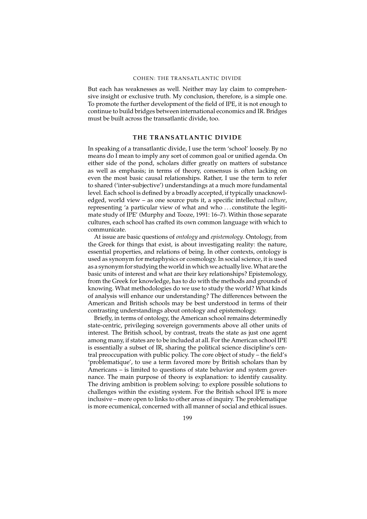But each has weaknesses as well. Neither may lay claim to comprehensive insight or exclusive truth. My conclusion, therefore, is a simple one. To promote the further development of the field of IPE, it is not enough to continue to build bridges between international economics and IR. Bridges must be built across the transatlantic divide, too.

# **THE TRANSATLANTIC DIVIDE**

In speaking of a transatlantic divide, I use the term 'school' loosely. By no means do I mean to imply any sort of common goal or unified agenda. On either side of the pond, scholars differ greatly on matters of substance as well as emphasis; in terms of theory, consensus is often lacking on even the most basic causal relationships. Rather, I use the term to refer to shared ('inter-subjective') understandings at a much more fundamental level. Each school is defined by a broadly accepted, if typically unacknowledged, world view – as one source puts it, a specific intellectual *culture*, representing 'a particular view of what and who . . . constitute the legitimate study of IPE' (Murphy and Tooze, 1991: 16–7). Within those separate cultures, each school has crafted its own common language with which to communicate.

At issue are basic questions of *ontology* and *epistemology*. Ontology, from the Greek for things that exist, is about investigating reality: the nature, essential properties, and relations of being. In other contexts, ontology is used as synonym for metaphysics or cosmology. In social science, it is used as a synonym for studying the world in which we actually live. What are the basic units of interest and what are their key relationships? Epistemology, from the Greek for knowledge, has to do with the methods and grounds of knowing. What methodologies do we use to study the world? What kinds of analysis will enhance our understanding? The differences between the American and British schools may be best understood in terms of their contrasting understandings about ontology and epistemology.

Briefly, in terms of ontology, the American school remains determinedly state-centric, privileging sovereign governments above all other units of interest. The British school, by contrast, treats the state as just one agent among many, if states are to be included at all. For the American school IPE is essentially a subset of IR, sharing the political science discipline's central preoccupation with public policy. The core object of study – the field's 'problematique', to use a term favored more by British scholars than by Americans – is limited to questions of state behavior and system governance. The main purpose of theory is explanation: to identify causality. The driving ambition is problem solving: to explore possible solutions to challenges within the existing system. For the British school IPE is more inclusive – more open to links to other areas of inquiry. The problematique is more ecumenical, concerned with all manner of social and ethical issues.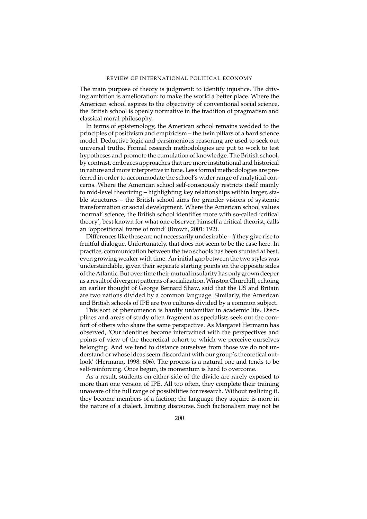The main purpose of theory is judgment: to identify injustice. The driving ambition is amelioration: to make the world a better place. Where the American school aspires to the objectivity of conventional social science, the British school is openly normative in the tradition of pragmatism and classical moral philosophy.

In terms of epistemology, the American school remains wedded to the principles of positivism and empiricism – the twin pillars of a hard science model. Deductive logic and parsimonious reasoning are used to seek out universal truths. Formal research methodologies are put to work to test hypotheses and promote the cumulation of knowledge. The British school, by contrast, embraces approaches that are more institutional and historical in nature and more interpretive in tone. Less formal methodologies are preferred in order to accommodate the school's wider range of analytical concerns. Where the American school self-consciously restricts itself mainly to mid-level theorizing – highlighting key relationships within larger, stable structures – the British school aims for grander visions of systemic transformation or social development. Where the American school values 'normal' science, the British school identifies more with so-called 'critical theory', best known for what one observer, himself a critical theorist, calls an 'oppositional frame of mind' (Brown, 2001: 192).

Differences like these are not necessarily undesirable – *if* they give rise to fruitful dialogue. Unfortunately, that does not seem to be the case here. In practice, communication between the two schools has been stunted at best, even growing weaker with time. An initial gap between the two styles was understandable, given their separate starting points on the opposite sides of the Atlantic. But over time their mutual insularity has only grown deeper as a result of divergent patterns of socialization. Winston Churchill, echoing an earlier thought of George Bernard Shaw, said that the US and Britain are two nations divided by a common language. Similarly, the American and British schools of IPE are two cultures divided by a common subject.

This sort of phenomenon is hardly unfamiliar in academic life. Disciplines and areas of study often fragment as specialists seek out the comfort of others who share the same perspective. As Margaret Hermann has observed, 'Our identities become intertwined with the perspectives and points of view of the theoretical cohort to which we perceive ourselves belonging. And we tend to distance ourselves from those we do not understand or whose ideas seem discordant with our group's theoretical outlook' (Hermann, 1998: 606). The process is a natural one and tends to be self-reinforcing. Once begun, its momentum is hard to overcome.

As a result, students on either side of the divide are rarely exposed to more than one version of IPE. All too often, they complete their training unaware of the full range of possibilities for research. Without realizing it, they become members of a faction; the language they acquire is more in the nature of a dialect, limiting discourse. Such factionalism may not be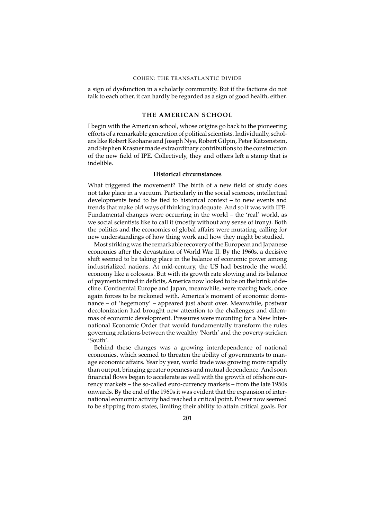a sign of dysfunction in a scholarly community. But if the factions do not talk to each other, it can hardly be regarded as a sign of good health, either.

#### **THE AMERICAN SCHOOL**

I begin with the American school, whose origins go back to the pioneering efforts of a remarkable generation of political scientists. Individually, scholars like Robert Keohane and Joseph Nye, Robert Gilpin, Peter Katzenstein, and Stephen Krasner made extraordinary contributions to the construction of the new field of IPE. Collectively, they and others left a stamp that is indelible.

#### **Historical circumstances**

What triggered the movement? The birth of a new field of study does not take place in a vacuum. Particularly in the social sciences, intellectual developments tend to be tied to historical context – to new events and trends that make old ways of thinking inadequate. And so it was with IPE. Fundamental changes were occurring in the world – the 'real' world, as we social scientists like to call it (mostly without any sense of irony). Both the politics and the economics of global affairs were mutating, calling for new understandings of how thing work and how they might be studied.

Most striking was the remarkable recovery of the European and Japanese economies after the devastation of World War II. By the 1960s, a decisive shift seemed to be taking place in the balance of economic power among industrialized nations. At mid-century, the US had bestrode the world economy like a colossus. But with its growth rate slowing and its balance of payments mired in deficits, America now looked to be on the brink of decline. Continental Europe and Japan, meanwhile, were roaring back, once again forces to be reckoned with. America's moment of economic dominance – of 'hegemony' – appeared just about over. Meanwhile, postwar decolonization had brought new attention to the challenges and dilemmas of economic development. Pressures were mounting for a New International Economic Order that would fundamentally transform the rules governing relations between the wealthy 'North' and the poverty-stricken 'South'.

Behind these changes was a growing interdependence of national economies, which seemed to threaten the ability of governments to manage economic affairs. Year by year, world trade was growing more rapidly than output, bringing greater openness and mutual dependence. And soon financial flows began to accelerate as well with the growth of offshore currency markets – the so-called euro-currency markets – from the late 1950s onwards. By the end of the 1960s it was evident that the expansion of international economic activity had reached a critical point. Power now seemed to be slipping from states, limiting their ability to attain critical goals. For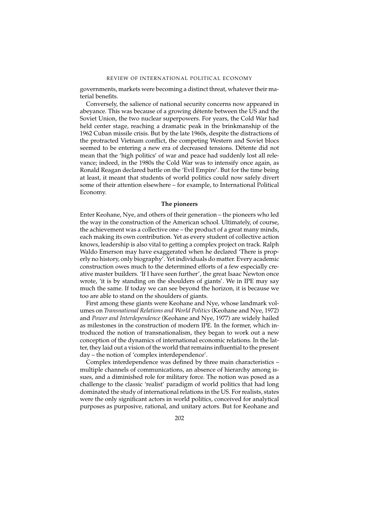governments, markets were becoming a distinct threat, whatever their material benefits.

Conversely, the salience of national security concerns now appeared in abeyance. This was because of a growing détente between the US and the Soviet Union, the two nuclear superpowers. For years, the Cold War had held center stage, reaching a dramatic peak in the brinkmanship of the 1962 Cuban missile crisis. But by the late 1960s, despite the distractions of the protracted Vietnam conflict, the competing Western and Soviet blocs seemed to be entering a new era of decreased tensions. Détente did not mean that the 'high politics' of war and peace had suddenly lost all relevance; indeed, in the 1980s the Cold War was to intensify once again, as Ronald Reagan declared battle on the 'Evil Empire'. But for the time being at least, it meant that students of world politics could now safely divert some of their attention elsewhere – for example, to International Political Economy.

#### **The pioneers**

Enter Keohane, Nye, and others of their generation – the pioneers who led the way in the construction of the American school. Ultimately, of course, the achievement was a collective one – the product of a great many minds, each making its own contribution. Yet as every student of collective action knows, leadership is also vital to getting a complex project on track. Ralph Waldo Emerson may have exaggerated when he declared 'There is properly no history, only biography'. Yet individuals do matter. Every academic construction owes much to the determined efforts of a few especially creative master builders. 'If I have seen further', the great Isaac Newton once wrote, 'it is by standing on the shoulders of giants'. We in IPE may say much the same. If today we can see beyond the horizon, it is because we too are able to stand on the shoulders of giants.

First among these giants were Keohane and Nye, whose landmark volumes on *Transnational Relations and World Politics* (Keohane and Nye, 1972) and *Power and Interdependence* (Keohane and Nye, 1977) are widely hailed as milestones in the construction of modern IPE. In the former, which introduced the notion of transnationalism, they began to work out a new conception of the dynamics of international economic relations. In the latter, they laid out a vision of the world that remains influential to the present day – the notion of 'complex interdependence'.

Complex interdependence was defined by three main characteristics – multiple channels of communications, an absence of hierarchy among issues, and a diminished role for military force. The notion was posed as a challenge to the classic 'realist' paradigm of world politics that had long dominated the study of international relations in the US. For realists, states were the only significant actors in world politics, conceived for analytical purposes as purposive, rational, and unitary actors. But for Keohane and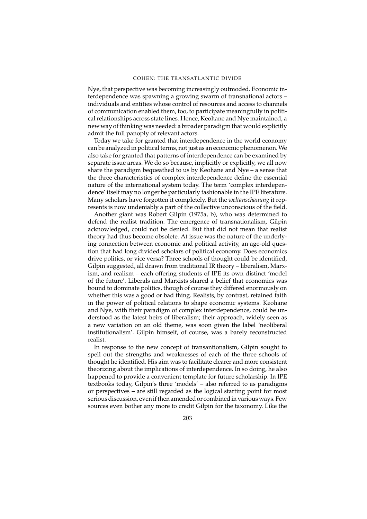Nye, that perspective was becoming increasingly outmoded. Economic interdependence was spawning a growing swarm of transnational actors – individuals and entities whose control of resources and access to channels of communication enabled them, too, to participate meaningfully in political relationships across state lines. Hence, Keohane and Nye maintained, a new way of thinking was needed: a broader paradigm that would explicitly admit the full panoply of relevant actors.

Today we take for granted that interdependence in the world economy can be analyzed in political terms, not just as an economic phenomenon. We also take for granted that patterns of interdependence can be examined by separate issue areas. We do so because, implicitly or explicitly, we all now share the paradigm bequeathed to us by Keohane and Nye – a sense that the three characteristics of complex interdependence define the essential nature of the international system today. The term 'complex interdependence' itself may no longer be particularly fashionable in the IPE literature. Many scholars have forgotten it completely. But the *weltanschauung* it represents is now undeniably a part of the collective unconscious of the field.

Another giant was Robert Gilpin (1975a, b), who was determined to defend the realist tradition. The emergence of transnationalism, Gilpin acknowledged, could not be denied. But that did not mean that realist theory had thus become obsolete. At issue was the nature of the underlying connection between economic and political activity, an age-old question that had long divided scholars of political economy. Does economics drive politics, or vice versa? Three schools of thought could be identified, Gilpin suggested, all drawn from traditional IR theory – liberalism, Marxism, and realism – each offering students of IPE its own distinct 'model of the future'. Liberals and Marxists shared a belief that economics was bound to dominate politics, though of course they differed enormously on whether this was a good or bad thing. Realists, by contrast, retained faith in the power of political relations to shape economic systems. Keohane and Nye, with their paradigm of complex interdependence, could be understood as the latest heirs of liberalism; their approach, widely seen as a new variation on an old theme, was soon given the label 'neoliberal institutionalism'. Gilpin himself, of course, was a barely reconstructed realist.

In response to the new concept of transantionalism, Gilpin sought to spell out the strengths and weaknesses of each of the three schools of thought he identified. His aim was to facilitate clearer and more consistent theorizing about the implications of interdependence. In so doing, he also happened to provide a convenient template for future scholarship. In IPE textbooks today, Gilpin's three 'models' – also referred to as paradigms or perspectives – are still regarded as the logical starting point for most serious discussion, even if then amended or combined in various ways. Few sources even bother any more to credit Gilpin for the taxonomy. Like the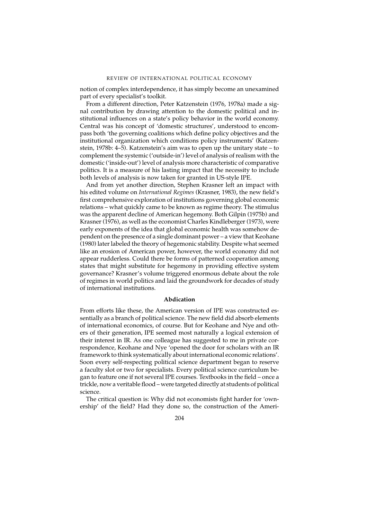notion of complex interdependence, it has simply become an unexamined part of every specialist's toolkit.

From a different direction, Peter Katzenstein (1976, 1978a) made a signal contribution by drawing attention to the domestic political and institutional influences on a state's policy behavior in the world economy. Central was his concept of 'domestic structures', understood to encompass both 'the governing coalitions which define policy objectives and the institutional organization which conditions policy instruments' (Katzenstein, 1978b: 4–5). Katzenstein's aim was to open up the unitary state – to complement the systemic ('outside-in') level of analysis of realism with the domestic ('inside-out') level of analysis more characteristic of comparative politics. It is a measure of his lasting impact that the necessity to include both levels of analysis is now taken for granted in US-style IPE.

And from yet another direction, Stephen Krasner left an impact with his edited volume on *International Regimes* (Krasner, 1983), the new field's first comprehensive exploration of institutions governing global economic relations – what quickly came to be known as regime theory. The stimulus was the apparent decline of American hegemony. Both Gilpin (1975b) and Krasner (1976), as well as the economist Charles Kindleberger (1973), were early exponents of the idea that global economic health was somehow dependent on the presence of a single dominant power – a view that Keohane (1980) later labeled the theory of hegemonic stability. Despite what seemed like an erosion of American power, however, the world economy did not appear rudderless. Could there be forms of patterned cooperation among states that might substitute for hegemony in providing effective system governance? Krasner's volume triggered enormous debate about the role of regimes in world politics and laid the groundwork for decades of study of international institutions.

# **Abdication**

From efforts like these, the American version of IPE was constructed essentially as a branch of political science. The new field did absorb elements of international economics, of course. But for Keohane and Nye and others of their generation, IPE seemed most naturally a logical extension of their interest in IR. As one colleague has suggested to me in private correspondence, Keohane and Nye 'opened the door for scholars with an IR framework to think systematically about international economic relations'. Soon every self-respecting political science department began to reserve a faculty slot or two for specialists. Every political science curriculum began to feature one if not several IPE courses. Textbooks in the field – once a trickle, now a veritable flood – were targeted directly at students of political science.

The critical question is: Why did not economists fight harder for 'ownership' of the field? Had they done so, the construction of the Ameri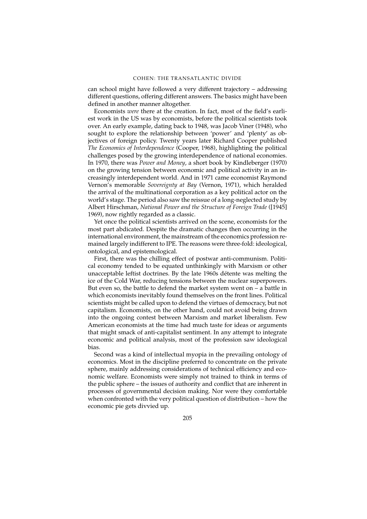can school might have followed a very different trajectory – addressing different questions, offering different answers. The basics might have been defined in another manner altogether.

Economists *were* there at the creation. In fact, most of the field's earliest work in the US was by economists, before the political scientists took over. An early example, dating back to 1948, was Jacob Viner (1948), who sought to explore the relationship between 'power' and 'plenty' as objectives of foreign policy. Twenty years later Richard Cooper published *The Economics of Interdependence* (Cooper, 1968), highlighting the political challenges posed by the growing interdependence of national economies. In 1970, there was *Power and Money*, a short book by Kindleberger (1970) on the growing tension between economic and political activity in an increasingly interdependent world. And in 1971 came economist Raymond Vernon's memorable *Sovereignty at Bay* (Vernon, 1971), which heralded the arrival of the multinational corporation as a key political actor on the world's stage. The period also saw the reissue of a long-neglected study by Albert Hirschman, *National Power and the Structure of Foreign Trade* ([1945] 1969), now rightly regarded as a classic.

Yet once the political scientists arrived on the scene, economists for the most part abdicated. Despite the dramatic changes then occurring in the international environment, the mainstream of the economics profession remained largely indifferent to IPE. The reasons were three-fold: ideological, ontological, and epistemological.

First, there was the chilling effect of postwar anti-communism. Political economy tended to be equated unthinkingly with Marxism or other unacceptable leftist doctrines. By the late 1960s détente was melting the ice of the Cold War, reducing tensions between the nuclear superpowers. But even so, the battle to defend the market system went on  $-$  a battle in which economists inevitably found themselves on the front lines. Political scientists might be called upon to defend the virtues of democracy, but not capitalism. Economists, on the other hand, could not avoid being drawn into the ongoing contest between Marxism and market liberalism. Few American economists at the time had much taste for ideas or arguments that might smack of anti-capitalist sentiment. In any attempt to integrate economic and political analysis, most of the profession saw ideological bias.

Second was a kind of intellectual myopia in the prevailing ontology of economics. Most in the discipline preferred to concentrate on the private sphere, mainly addressing considerations of technical efficiency and economic welfare. Economists were simply not trained to think in terms of the public sphere – the issues of authority and conflict that are inherent in processes of governmental decision making. Nor were they comfortable when confronted with the very political question of distribution – how the economic pie gets divvied up.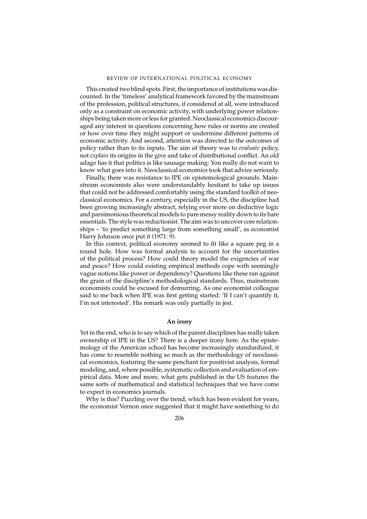This created two blind spots. First, the importance of institutions was discounted. In the 'timeless' analytical framework favored by the mainstream of the profession, political structures, if considered at all, were introduced only as a constraint on economic activity, with underlying power relationships being taken more or less for granted. Neoclassical economics discouraged any interest in questions concerning how rules or norms are created or how over time they might support or undermine different patterns of economic activity. And second, attention was directed to the outcomes of policy rather than to its inputs. The aim of theory was to *evaluate* policy, not *explain* its origins in the give and take of distributional conflict. An old adage has it that politics is like sausage making: You really do not want to know what goes into it. Neoclassical economics took that advice seriously.

Finally, there was resistance to IPE on epistemological grounds. Mainstream economists also were understandably hesitant to take up issues that could not be addressed comfortably using the standard toolkit of neoclassical economics. For a century, especially in the US, the discipline had been growing increasingly abstract, relying ever more on deductive logic and parsimonious theoretical models to pare messy reality down to its bare essentials. The style was reductionist. The aim was to uncover core relationships – 'to predict something large from something small', as economist Harry Johnson once put it (1971: 9).

In this context, political economy seemed to fit like a square peg in a round hole. How was formal analysis to account for the uncertainties of the political process? How could theory model the exigencies of war and peace? How could existing empirical methods cope with seemingly vague notions like power or dependency? Questions like these ran against the grain of the discipline's methodological standards. Thus, mainstream economists could be excused for demurring. As one economist colleague said to me back when IPE was first getting started: 'If I can't quantify it, I'm not interested'. His remark was only partially in jest.

# **An irony**

Yet in the end, who is to say which of the parent disciplines has really taken ownership of IPE in the US? There is a deeper irony here. As the epistemology of the American school has become increasingly standardized, it has come to resemble nothing so much as the methodology of neoclassical economics, featuring the same penchant for positivist analysis, formal modeling, and, where possible, systematic collection and evaluation of empirical data. More and more, what gets published in the US features the same sorts of mathematical and statistical techniques that we have come to expect in economics journals.

Why is this? Puzzling over the trend, which has been evident for years, the economist Vernon once suggested that it might have something to do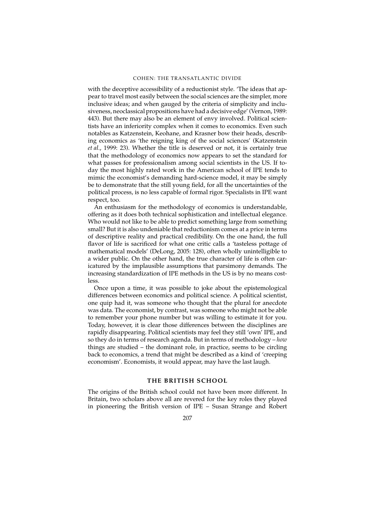with the deceptive accessibility of a reductionist style. 'The ideas that appear to travel most easily between the social sciences are the simpler, more inclusive ideas; and when gauged by the criteria of simplicity and inclusiveness, neoclassical propositions have had a decisive edge' (Vernon, 1989: 443). But there may also be an element of envy involved. Political scientists have an inferiority complex when it comes to economics. Even such notables as Katzenstein, Keohane, and Krasner bow their heads, describing economics as 'the reigning king of the social sciences' (Katzenstein *et al*., 1999: 23). Whether the title is deserved or not, it is certainly true that the methodology of economics now appears to set the standard for what passes for professionalism among social scientists in the US. If today the most highly rated work in the American school of IPE tends to mimic the economist's demanding hard-science model, it may be simply be to demonstrate that the still young field, for all the uncertainties of the political process, is no less capable of formal rigor. Specialists in IPE want respect, too.

An enthusiasm for the methodology of economics is understandable, offering as it does both technical sophistication and intellectual elegance. Who would not like to be able to predict something large from something small? But it is also undeniable that reductionism comes at a price in terms of descriptive reality and practical credibility. On the one hand, the full flavor of life is sacrificed for what one critic calls a 'tasteless pottage of mathematical models' (DeLong, 2005: 128), often wholly unintelligible to a wider public. On the other hand, the true character of life is often caricatured by the implausible assumptions that parsimony demands. The increasing standardization of IPE methods in the US is by no means costless.

Once upon a time, it was possible to joke about the epistemological differences between economics and political science. A political scientist, one quip had it, was someone who thought that the plural for anecdote was data. The economist, by contrast, was someone who might not be able to remember your phone number but was willing to estimate it for you. Today, however, it is clear those differences between the disciplines are rapidly disappearing. Political scientists may feel they still 'own' IPE, and so they do in terms of research agenda. But in terms of methodology – *how* things are studied – the dominant role, in practice, seems to be circling back to economics, a trend that might be described as a kind of 'creeping economism'. Economists, it would appear, may have the last laugh.

# **THE BRITISH SCHOOL**

The origins of the British school could not have been more different. In Britain, two scholars above all are revered for the key roles they played in pioneering the British version of IPE – Susan Strange and Robert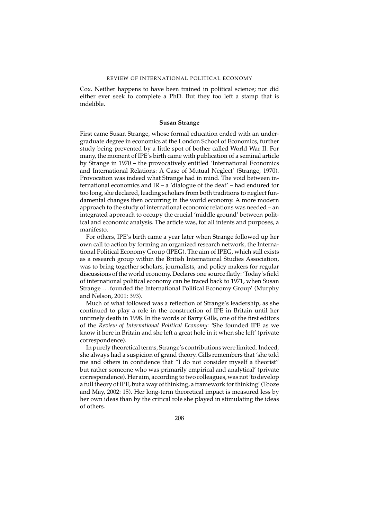Cox. Neither happens to have been trained in political science; nor did either ever seek to complete a PhD. But they too left a stamp that is indelible.

#### **Susan Strange**

First came Susan Strange, whose formal education ended with an undergraduate degree in economics at the London School of Economics, further study being prevented by a little spot of bother called World War II. For many, the moment of IPE's birth came with publication of a seminal article by Strange in 1970 – the provocatively entitled 'International Economics and International Relations: A Case of Mutual Neglect' (Strange, 1970). Provocation was indeed what Strange had in mind. The void between international economics and IR–a 'dialogue of the deaf' – had endured for too long, she declared, leading scholars from both traditions to neglect fundamental changes then occurring in the world economy. A more modern approach to the study of international economic relations was needed – an integrated approach to occupy the crucial 'middle ground' between political and economic analysis. The article was, for all intents and purposes, a manifesto.

For others, IPE's birth came a year later when Strange followed up her own call to action by forming an organized research network, the International Political Economy Group (IPEG). The aim of IPEG, which still exists as a research group within the British International Studies Association, was to bring together scholars, journalists, and policy makers for regular discussions of the world economy. Declares one source flatly: 'Today's field of international political economy can be traced back to 1971, when Susan Strange . . . founded the International Political Economy Group' (Murphy and Nelson, 2001: 393).

Much of what followed was a reflection of Strange's leadership, as she continued to play a role in the construction of IPE in Britain until her untimely death in 1998. In the words of Barry Gills, one of the first editors of the *Review of International Political Economy*: 'She founded IPE as we know it here in Britain and she left a great hole in it when she left' (private correspondence).

In purely theoretical terms, Strange's contributions were limited. Indeed, she always had a suspicion of grand theory. Gills remembers that 'she told me and others in confidence that "I do not consider myself a theorist" but rather someone who was primarily empirical and analytical' (private correspondence). Her aim, according to two colleagues, was not 'to develop a full theory of IPE, but a way of thinking, a framework for thinking' (Tooze and May, 2002: 15). Her long-term theoretical impact is measured less by her own ideas than by the critical role she played in stimulating the ideas of others.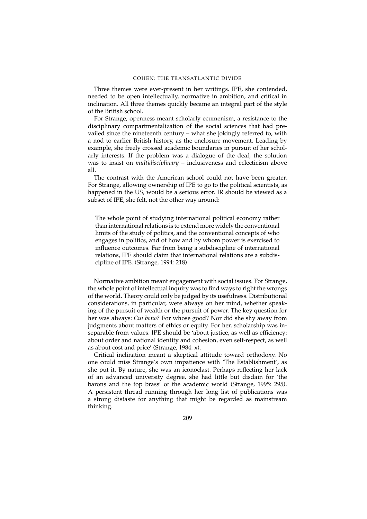Three themes were ever-present in her writings. IPE, she contended, needed to be open intellectually, normative in ambition, and critical in inclination. All three themes quickly became an integral part of the style of the British school.

For Strange, openness meant scholarly ecumenism, a resistance to the disciplinary compartmentalization of the social sciences that had prevailed since the nineteenth century – what she jokingly referred to, with a nod to earlier British history, as the enclosure movement. Leading by example, she freely crossed academic boundaries in pursuit of her scholarly interests. If the problem was a dialogue of the deaf, the solution was to insist on *multidisciplinary* – inclusiveness and eclecticism above all.

The contrast with the American school could not have been greater. For Strange, allowing ownership of IPE to go to the political scientists, as happened in the US, would be a serious error. IR should be viewed as a subset of IPE, she felt, not the other way around:

The whole point of studying international political economy rather than international relations is to extend more widely the conventional limits of the study of politics, and the conventional concepts of who engages in politics, and of how and by whom power is exercised to influence outcomes. Far from being a subdiscipline of international relations, IPE should claim that international relations are a subdiscipline of IPE. (Strange, 1994: 218)

Normative ambition meant engagement with social issues. For Strange, the whole point of intellectual inquiry was to find ways to right the wrongs of the world. Theory could only be judged by its usefulness. Distributional considerations, in particular, were always on her mind, whether speaking of the pursuit of wealth or the pursuit of power. The key question for her was always: *Cui bono?* For whose good? Nor did she shy away from judgments about matters of ethics or equity. For her, scholarship was inseparable from values. IPE should be 'about justice, as well as efficiency: about order and national identity and cohesion, even self-respect, as well as about cost and price' (Strange, 1984: x).

Critical inclination meant a skeptical attitude toward orthodoxy. No one could miss Strange's own impatience with 'The Establishment', as she put it. By nature, she was an iconoclast. Perhaps reflecting her lack of an advanced university degree, she had little but disdain for 'the barons and the top brass' of the academic world (Strange, 1995: 295). A persistent thread running through her long list of publications was a strong distaste for anything that might be regarded as mainstream thinking.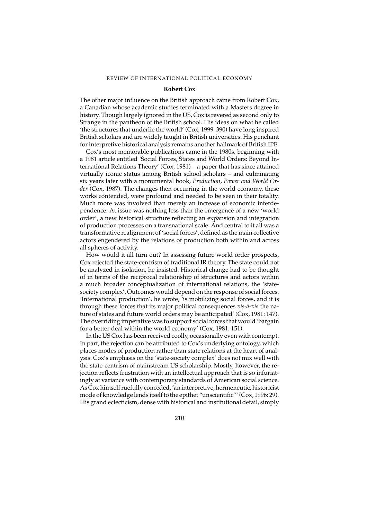#### **Robert Cox**

The other major influence on the British approach came from Robert Cox, a Canadian whose academic studies terminated with a Masters degree in history. Though largely ignored in the US, Cox is revered as second only to Strange in the pantheon of the British school. His ideas on what he called 'the structures that underlie the world' (Cox, 1999: 390) have long inspired British scholars and are widely taught in British universities. His penchant for interpretive historical analysis remains another hallmark of British IPE.

Cox's most memorable publications came in the 1980s, beginning with a 1981 article entitled 'Social Forces, States and World Orders: Beyond International Relations Theory' (Cox, 1981) – a paper that has since attained virtually iconic status among British school scholars – and culminating six years later with a monumental book, *Production, Power and World Order* (Cox, 1987). The changes then occurring in the world economy, these works contended, were profound and needed to be seen in their totality. Much more was involved than merely an increase of economic interdependence. At issue was nothing less than the emergence of a new 'world order', a new historical structure reflecting an expansion and integration of production processes on a transnational scale. And central to it all was a transformative realignment of 'social forces', defined as the main collective actors engendered by the relations of production both within and across all spheres of activity.

How would it all turn out? In assessing future world order prospects, Cox rejected the state-centrism of traditional IR theory. The state could not be analyzed in isolation, he insisted. Historical change had to be thought of in terms of the reciprocal relationship of structures and actors within a much broader conceptualization of international relations, the 'statesociety complex'. Outcomes would depend on the response of social forces. 'International production', he wrote, 'is mobilizing social forces, and it is through these forces that its major political consequences *vis-a-vis `* the nature of states and future world orders may be anticipated' (Cox, 1981: 147). The overriding imperative was to support social forces that would 'bargain for a better deal within the world economy' (Cox, 1981: 151).

In the US Cox has been received coolly, occasionally even with contempt. In part, the rejection can be attributed to Cox's underlying ontology, which places modes of production rather than state relations at the heart of analysis. Cox's emphasis on the 'state-society complex' does not mix well with the state-centrism of mainstream US scholarship. Mostly, however, the rejection reflects frustration with an intellectual approach that is so infuriatingly at variance with contemporary standards of American social science. As Cox himself ruefully conceded, 'an interpretive, hermeneutic, historicist mode of knowledge lends itself to the epithet "unscientific"' (Cox, 1996: 29). His grand eclecticism, dense with historical and institutional detail, simply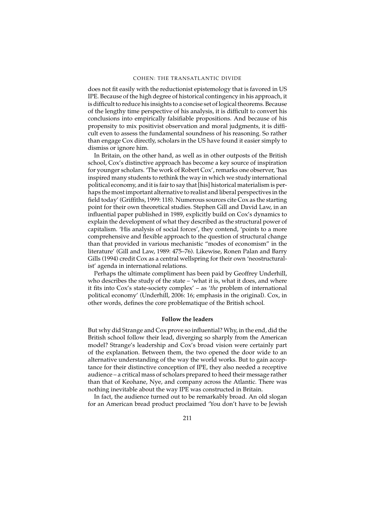does not fit easily with the reductionist epistemology that is favored in US IPE. Because of the high degree of historical contingency in his approach, it is difficult to reduce his insights to a concise set of logical theorems. Because of the lengthy time perspective of his analysis, it is difficult to convert his conclusions into empirically falsifiable propositions. And because of his propensity to mix positivist observation and moral judgments, it is difficult even to assess the fundamental soundness of his reasoning. So rather than engage Cox directly, scholars in the US have found it easier simply to dismiss or ignore him.

In Britain, on the other hand, as well as in other outposts of the British school, Cox's distinctive approach has become a key source of inspiration for younger scholars. 'The work of Robert Cox', remarks one observer, 'has inspired many students to rethink the way in which we study international political economy, and it is fair to say that [his] historical materialism is perhaps the most important alternative to realist and liberal perspectives in the field today' (Griffiths, 1999: 118). Numerous sources cite Cox as the starting point for their own theoretical studies. Stephen Gill and David Law, in an influential paper published in 1989, explicitly build on Cox's dynamics to explain the development of what they described as the structural power of capitalism. 'His analysis of social forces', they contend, 'points to a more comprehensive and flexible approach to the question of structural change than that provided in various mechanistic "modes of economism" in the literature' (Gill and Law, 1989: 475–76). Likewise, Ronen Palan and Barry Gills (1994) credit Cox as a central wellspring for their own 'neostructuralist' agenda in international relations.

Perhaps the ultimate compliment has been paid by Geoffrey Underhill, who describes the study of the state – 'what it is, what it does, and where it fits into Cox's state-society complex' – as '*the* problem of international political economy' (Underhill, 2006: 16; emphasis in the original). Cox, in other words, defines the core problematique of the British school.

#### **Follow the leaders**

But why did Strange and Cox prove so influential? Why, in the end, did the British school follow their lead, diverging so sharply from the American model? Strange's leadership and Cox's broad vision were certainly part of the explanation. Between them, the two opened the door wide to an alternative understanding of the way the world works. But to gain acceptance for their distinctive conception of IPE, they also needed a receptive audience – a critical mass of scholars prepared to heed their message rather than that of Keohane, Nye, and company across the Atlantic. There was nothing inevitable about the way IPE was constructed in Britain.

In fact, the audience turned out to be remarkably broad. An old slogan for an American bread product proclaimed 'You don't have to be Jewish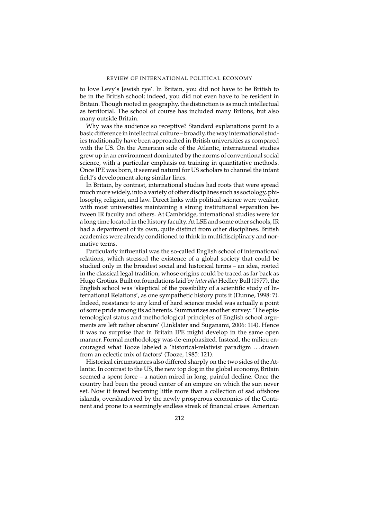to love Levy's Jewish rye'. In Britain, you did not have to be British to be in the British school; indeed, you did not even have to be resident in Britain. Though rooted in geography, the distinction is as much intellectual as territorial. The school of course has included many Britons, but also many outside Britain.

Why was the audience so receptive? Standard explanations point to a basic difference in intellectual culture – broadly, the way international studies traditionally have been approached in British universities as compared with the US. On the American side of the Atlantic, international studies grew up in an environment dominated by the norms of conventional social science, with a particular emphasis on training in quantitative methods. Once IPE was born, it seemed natural for US scholars to channel the infant field's development along similar lines.

In Britain, by contrast, international studies had roots that were spread much more widely, into a variety of other disciplines such as sociology, philosophy, religion, and law. Direct links with political science were weaker, with most universities maintaining a strong institutional separation between IR faculty and others. At Cambridge, international studies were for a long time located in the history faculty. At LSE and some other schools, IR had a department of its own, quite distinct from other disciplines. British academics were already conditioned to think in multidisciplinary and normative terms.

Particularly influential was the so-called English school of international relations, which stressed the existence of a global society that could be studied only in the broadest social and historical terms – an idea, rooted in the classical legal tradition, whose origins could be traced as far back as Hugo Grotius. Built on foundations laid by *inter alia* Hedley Bull (1977), the English school was 'skeptical of the possibility of a scientific study of International Relations', as one sympathetic history puts it (Dunne, 1998: 7). Indeed, resistance to any kind of hard science model was actually a point of some pride among its adherents. Summarizes another survey: 'The epistemological status and methodological principles of English school arguments are left rather obscure' (Linklater and Suganami, 2006: 114). Hence it was no surprise that in Britain IPE might develop in the same open manner. Formal methodology was de-emphasized. Instead, the milieu encouraged what Tooze labeled a 'historical-relativist paradigm . . . drawn from an eclectic mix of factors' (Tooze, 1985: 121).

Historical circumstances also differed sharply on the two sides of the Atlantic. In contrast to the US, the new top dog in the global economy, Britain seemed a spent force–a nation mired in long, painful decline. Once the country had been the proud center of an empire on which the sun never set. Now it feared becoming little more than a collection of sad offshore islands, overshadowed by the newly prosperous economies of the Continent and prone to a seemingly endless streak of financial crises. American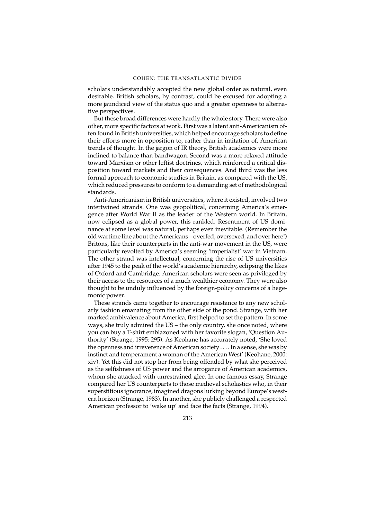scholars understandably accepted the new global order as natural, even desirable. British scholars, by contrast, could be excused for adopting a more jaundiced view of the status quo and a greater openness to alternative perspectives.

But these broad differences were hardly the whole story. There were also other, more specific factors at work. First was a latent anti-Americanism often found in British universities, which helped encourage scholars to define their efforts more in opposition to, rather than in imitation of, American trends of thought. In the jargon of IR theory, British academics were more inclined to balance than bandwagon. Second was a more relaxed attitude toward Marxism or other leftist doctrines, which reinforced a critical disposition toward markets and their consequences. And third was the less formal approach to economic studies in Britain, as compared with the US, which reduced pressures to conform to a demanding set of methodological standards.

Anti-Americanism in British universities, where it existed, involved two intertwined strands. One was geopolitical, concerning America's emergence after World War II as the leader of the Western world. In Britain, now eclipsed as a global power, this rankled. Resentment of US dominance at some level was natural, perhaps even inevitable. (Remember the old wartime line about the Americans – overfed, oversexed, and over here!) Britons, like their counterparts in the anti-war movement in the US, were particularly revolted by America's seeming 'imperialist' war in Vietnam. The other strand was intellectual, concerning the rise of US universities after 1945 to the peak of the world's academic hierarchy, eclipsing the likes of Oxford and Cambridge. American scholars were seen as privileged by their access to the resources of a much wealthier economy. They were also thought to be unduly influenced by the foreign-policy concerns of a hegemonic power.

These strands came together to encourage resistance to any new scholarly fashion emanating from the other side of the pond. Strange, with her marked ambivalence about America, first helped to set the pattern. In some ways, she truly admired the US – the only country, she once noted, where you can buy a T-shirt emblazoned with her favorite slogan, 'Question Authority' (Strange, 1995: 295). As Keohane has accurately noted, 'She loved the openness and irreverence of American society . . . . In a sense, she was by instinct and temperament a woman of the American West' (Keohane, 2000: xiv). Yet this did not stop her from being offended by what she perceived as the selfishness of US power and the arrogance of American academics, whom she attacked with unrestrained glee. In one famous essay, Strange compared her US counterparts to those medieval scholastics who, in their superstitious ignorance, imagined dragons lurking beyond Europe's western horizon (Strange, 1983). In another, she publicly challenged a respected American professor to 'wake up' and face the facts (Strange, 1994).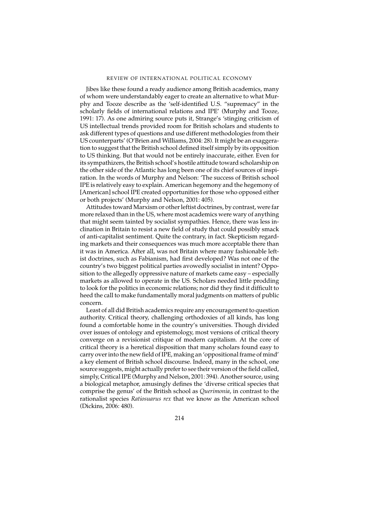Jibes like these found a ready audience among British academics, many of whom were understandably eager to create an alternative to what Murphy and Tooze describe as the 'self-identified U.S. "supremacy" in the scholarly fields of international relations and IPE' (Murphy and Tooze, 1991: 17). As one admiring source puts it, Strange's 'stinging criticism of US intellectual trends provided room for British scholars and students to ask different types of questions and use different methodologies from their US counterparts' (O'Brien and Williams, 2004: 28). It might be an exaggeration to suggest that the British school defined itself simply by its opposition to US thinking. But that would not be entirely inaccurate, either. Even for its sympathizers, the British school's hostile attitude toward scholarship on the other side of the Atlantic has long been one of its chief sources of inspiration. In the words of Murphy and Nelson: 'The success of British school IPE is relatively easy to explain. American hegemony and the hegemony of [American] school IPE created opportunities for those who opposed either or both projects' (Murphy and Nelson, 2001: 405).

Attitudes toward Marxism or other leftist doctrines, by contrast, were far more relaxed than in the US, where most academics were wary of anything that might seem tainted by socialist sympathies. Hence, there was less inclination in Britain to resist a new field of study that could possibly smack of anti-capitalist sentiment. Quite the contrary, in fact. Skepticism regarding markets and their consequences was much more acceptable there than it was in America. After all, was not Britain where many fashionable leftist doctrines, such as Fabianism, had first developed? Was not one of the country's two biggest political parties avowedly socialist in intent? Opposition to the allegedly oppressive nature of markets came easy – especially markets as allowed to operate in the US. Scholars needed little prodding to look for the politics in economic relations; nor did they find it difficult to heed the call to make fundamentally moral judgments on matters of public concern.

Least of all did British academics require any encouragement to question authority. Critical theory, challenging orthodoxies of all kinds, has long found a comfortable home in the country's universities. Though divided over issues of ontology and epistemology, most versions of critical theory converge on a revisionist critique of modern capitalism. At the core of critical theory is a heretical disposition that many scholars found easy to carry over into the new field of IPE, making an 'oppositional frame of mind' a key element of British school discourse. Indeed, many in the school, one source suggests, might actually prefer to see their version of the field called, simply, Critical IPE (Murphy and Nelson, 2001: 394). Another source, using a biological metaphor, amusingly defines the 'diverse critical species that comprise the genus' of the British school as *Querimonia*, in contrast to the rationalist species *Ratiosuarus rex* that we know as the American school (Dickins, 2006: 480).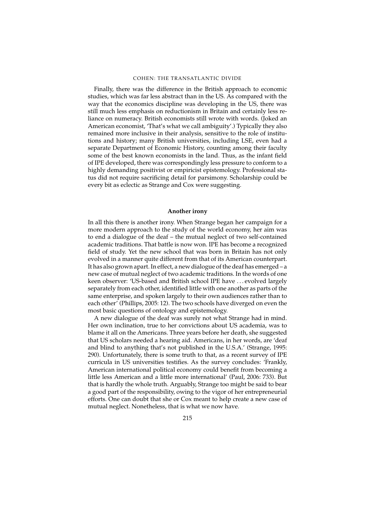Finally, there was the difference in the British approach to economic studies, which was far less abstract than in the US. As compared with the way that the economics discipline was developing in the US, there was still much less emphasis on reductionism in Britain and certainly less reliance on numeracy. British economists still wrote with words. (Joked an American economist, 'That's what we call ambiguity'.) Typically they also remained more inclusive in their analysis, sensitive to the role of institutions and history; many British universities, including LSE, even had a separate Department of Economic History, counting among their faculty some of the best known economists in the land. Thus, as the infant field of IPE developed, there was correspondingly less pressure to conform to a highly demanding positivist or empiricist epistemology. Professional status did not require sacrificing detail for parsimony. Scholarship could be every bit as eclectic as Strange and Cox were suggesting.

#### **Another irony**

In all this there is another irony. When Strange began her campaign for a more modern approach to the study of the world economy, her aim was to end a dialogue of the deaf – the mutual neglect of two self-contained academic traditions. That battle is now won. IPE has become a recognized field of study. Yet the new school that was born in Britain has not only evolved in a manner quite different from that of its American counterpart. It has also grown apart. In effect, a new dialogue of the deaf has emerged – a new case of mutual neglect of two academic traditions. In the words of one keen observer: 'US-based and British school IPE have . . . evolved largely separately from each other, identified little with one another as parts of the same enterprise, and spoken largely to their own audiences rather than to each other' (Phillips, 2005: 12). The two schools have diverged on even the most basic questions of ontology and epistemology.

A new dialogue of the deaf was surely not what Strange had in mind. Her own inclination, true to her convictions about US academia, was to blame it all on the Americans. Three years before her death, she suggested that US scholars needed a hearing aid. Americans, in her words, are 'deaf and blind to anything that's not published in the U.S.A.' (Strange, 1995: 290). Unfortunately, there is some truth to that, as a recent survey of IPE curricula in US universities testifies. As the survey concludes: 'Frankly, American international political economy could benefit from becoming a little less American and a little more international' (Paul, 2006: 733). But that is hardly the whole truth. Arguably, Strange too might be said to bear a good part of the responsibility, owing to the vigor of her entrepreneurial efforts. One can doubt that she or Cox meant to help create a new case of mutual neglect. Nonetheless, that is what we now have.

215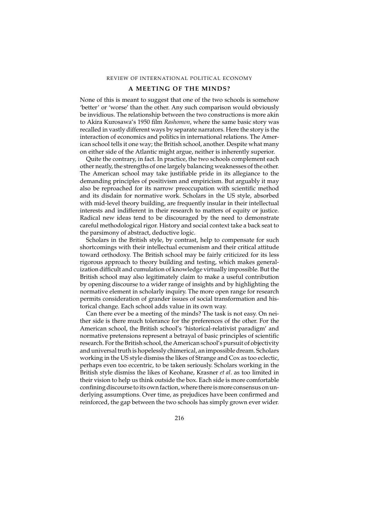#### **A MEETING OF THE MINDS?**

None of this is meant to suggest that one of the two schools is somehow 'better' or 'worse' than the other. Any such comparison would obviously be invidious. The relationship between the two constructions is more akin to Akira Kurosawa's 1950 film *Rashomon*, where the same basic story was recalled in vastly different ways by separate narrators. Here the story is the interaction of economics and politics in international relations. The American school tells it one way; the British school, another. Despite what many on either side of the Atlantic might argue, neither is inherently superior.

Quite the contrary, in fact. In practice, the two schools complement each other neatly, the strengths of one largely balancing weaknesses of the other. The American school may take justifiable pride in its allegiance to the demanding principles of positivism and empiricism. But arguably it may also be reproached for its narrow preoccupation with scientific method and its disdain for normative work. Scholars in the US style, absorbed with mid-level theory building, are frequently insular in their intellectual interests and indifferent in their research to matters of equity or justice. Radical new ideas tend to be discouraged by the need to demonstrate careful methodological rigor. History and social context take a back seat to the parsimony of abstract, deductive logic.

Scholars in the British style, by contrast, help to compensate for such shortcomings with their intellectual ecumenism and their critical attitude toward orthodoxy. The British school may be fairly criticized for its less rigorous approach to theory building and testing, which makes generalization difficult and cumulation of knowledge virtually impossible. But the British school may also legitimately claim to make a useful contribution by opening discourse to a wider range of insights and by highlighting the normative element in scholarly inquiry. The more open range for research permits consideration of grander issues of social transformation and historical change. Each school adds value in its own way.

Can there ever be a meeting of the minds? The task is not easy. On neither side is there much tolerance for the preferences of the other. For the American school, the British school's 'historical-relativist paradigm' and normative pretensions represent a betrayal of basic principles of scientific research. For the British school, the American school's pursuit of objectivity and universal truth is hopelessly chimerical, an impossible dream. Scholars working in the US style dismiss the likes of Strange and Cox as too eclectic, perhaps even too eccentric, to be taken seriously. Scholars working in the British style dismiss the likes of Keohane, Krasner *et al*. as too limited in their vision to help us think outside the box. Each side is more comfortable confining discourse to its own faction, where there is more consensus on underlying assumptions. Over time, as prejudices have been confirmed and reinforced, the gap between the two schools has simply grown ever wider.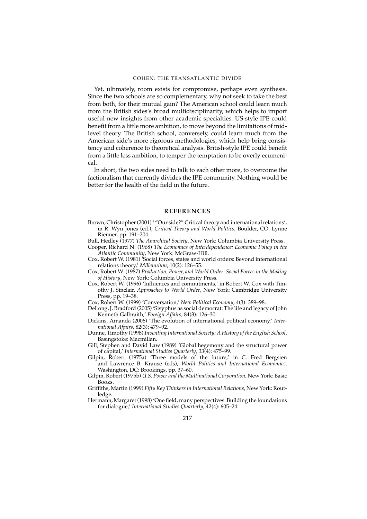Yet, ultimately, room exists for compromise, perhaps even synthesis. Since the two schools are so complementary, why not seek to take the best from both, for their mutual gain? The American school could learn much from the British sides's broad multidisciplinarity, which helps to import useful new insights from other academic specialties. US-style IPE could benefit from a little more ambition, to move beyond the limitations of midlevel theory. The British school, conversely, could learn much from the American side's more rigorous methodologies, which help bring consistency and coherence to theoretical analysis. British-style IPE could benefit from a little less ambition, to temper the temptation to be overly ecumenical.

In short, the two sides need to talk to each other more, to overcome the factionalism that currently divides the IPE community. Nothing would be better for the health of the field in the future.

#### **REFERENCES**

- Brown, Christopher (2001) ' "Our side?" Critical theory and international relations', in R. Wyn Jones (ed.), *Critical Theory and World Politics*, Boulder, CO: Lynne Rienner, pp. 191–204.
- Bull, Hedley (1977) *The Anarchical Society*, New York: Columbia University Press.
- Cooper, Richard N. (1968) *The Economics of Interdependence: Economic Policy in the Atlantic Community*, New York: McGraw-Hill.
- Cox, Robert W. (1981) 'Social forces, states and world orders: Beyond international relations theory,' *Millennium*, 10(2): 126–55.
- Cox, Robert W. (1987) *Production, Power, and World Order: Social Forces in the Making of History*, New York: Columbia University Press.
- Cox, Robert W. (1996) 'Influences and commitments,' in Robert W. Cox with Timothy J. Sinclair, *Approaches to World Order*, New York: Cambridge University Press, pp. 19–38.
- Cox, Robert W. (1999) 'Conversation,' *New Political Economy*, 4(3): 389–98.
- DeLong, J. Bradford (2005) 'Sisyphus as social democrat: The life and legacy of John Kenneth Galbraith,' *Foreign Affairs*, 84(3): 126–30.
- Dickins, Amanda (2006) 'The evolution of international political economy,' *International Affairs*, 82(3): 479–92.
- Dunne, Timothy (1998) *Inventing International Society: A History of the English School*, Basingstoke: Macmillan.
- Gill, Stephen and David Law (1989) 'Global hegemony and the structural power of capital,' *International Studies Quarterly*, 33(4): 475–99.
- Gilpin, Robert (1975a) 'Three models of the future,' in C. Fred Bergsten and Lawrence B. Krause (eds), *World Politics and International Economics*, Washington, DC: Brookings, pp. 37–60.
- Gilpin, Robert (1975b) *U.S. Power and the Multinational Corporation*, New York: Basic Books.
- Griffiths, Martin (1999) *Fifty Key Thinkers in International Relations*, New York: Routledge.
- Hermann, Margaret (1998) 'One field, many perspectives: Building the foundations for dialogue,' *International Studies Quarterly*, 42(4): 605–24.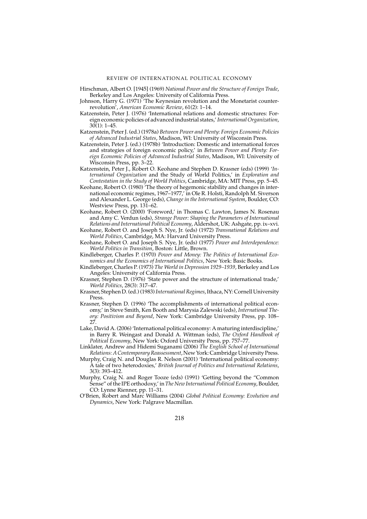- Hirschman, Albert O. [1945] (1969) *National Power and the Structure of Foreign Trade*, Berkeley and Los Angeles: University of California Press.
- Johnson, Harry G. (1971) 'The Keynesian revolution and the Monetarist counterrevolution', *American Economic Review*, 61(2): 1–14.
- Katzenstein, Peter J. (1976) 'International relations and domestic structures: Foreign economic policies of advanced industrial states,'*International Organization*,  $30(1): 1-45.$
- Katzenstein, Peter J. (ed.) (1978a) *Between Power and Plenty: Foreign Economic Policies of Advanced Industrial States*, Madison, WI: University of Wisconsin Press.
- Katzenstein, Peter J. (ed.) (1978b) 'Introduction: Domestic and international forces and strategies of foreign economic policy,' in *Between Power and Plenty: Foreign Economic Policies of Advanced Industrial States*, Madison, WI: University of Wisconsin Press, pp. 3–22.
- Katzenstein, Peter J., Robert O. Keohane and Stephen D. Krasner (eds) (1999) '*International Organization* and the Study of World Politics,' in *Exploration and Contestation in the Study of World Politics*, Cambridge, MA: MIT Press, pp. 5–45.
- Keohane, Robert O. (1980) 'The theory of hegemonic stability and changes in international economic regimes, 1967–1977,' in Ole R. Holsti, Randolph M. Siverson and Alexander L. George (eds), *Change in the International System*, Boulder, CO: Westview Press, pp. 131–62.
- Keohane, Robert O. (2000) 'Foreword,' in Thomas C. Lawton, James N. Rosenau and Amy C. Verdun (eds), *Strange Power: Shaping the Parameters of International Relations and International Political Economy*, Aldershot, UK: Ashgate, pp. ix–xvi.
- Keohane, Robert O. and Joseph S. Nye, Jr. (eds) (1972) *Transnational Relations and World Politics*, Cambridge, MA: Harvard University Press.
- Keohane, Robert O. and Joseph S. Nye, Jr. (eds) (1977) *Power and Interdependence: World Politics in Transition*, Boston: Little, Brown.
- Kindleberger, Charles P. (1970) *Power and Money: The Politics of International Economics and the Economics of International Politics*, New York: Basic Books.
- Kindleberger, Charles P. (1973) *The World in Depression 1929–1939*, Berkeley and Los Angeles: University of California Press.
- Krasner, Stephen D. (1976) 'State power and the structure of international trade,' *World Politics*, 28(3): 317–47.
- Krasner, Stephen D. (ed.) (1983)*International Regimes*,Ithaca, NY: Cornell University Press.
- Krasner, Stephen D. (1996) 'The accomplishments of international political economy,' in Steve Smith, Ken Booth and Marysia Zalewski (eds), *International Theory: Positivism and Beyond*, New York: Cambridge University Press, pp. 108– 27.
- Lake, David A. (2006) 'International political economy: A maturing interdiscipline,' in Barry R. Weingast and Donald A. Wittman (eds), *The Oxford Handbook of Political Economy*, New York: Oxford University Press, pp. 757–77.
- Linklater, Andrew and Hidemi Suganami (2006) *The English School of International Relations: A Contemporary Reassessment*, New York: Cambridge University Press.
- Murphy, Craig N. and Douglas R. Nelson (2001) 'International political economy: A tale of two heterodoxies,' *British Journal of Politics and International Relations*, 3(3): 393–412.
- Murphy, Craig N. and Roger Tooze (eds) (1991) 'Getting beyond the "Common Sense" of the IPE orthodoxy,' in *The New International Political Economy*, Boulder, CO: Lynne Rienner, pp. 11–31.
- O'Brien, Robert and Marc Williams (2004) *Global Political Economy: Evolution and Dynamics*, New York: Palgrave Macmillan.